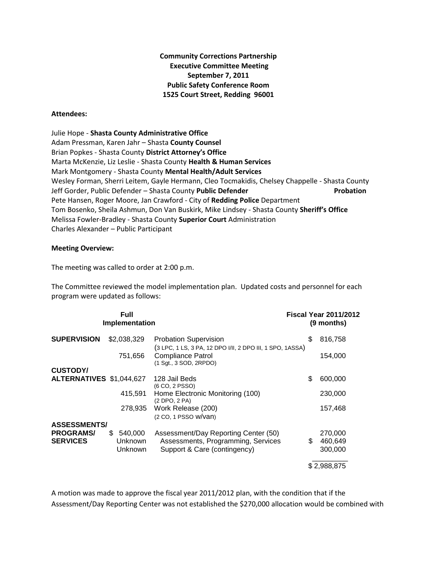**Community Corrections Partnership Executive Committee Meeting September 7, 2011 Public Safety Conference Room 1525 Court Street, Redding 96001**

## **Attendees:**

Julie Hope - **Shasta County Administrative Office** Adam Pressman, Karen Jahr – Shasta **County Counsel** Brian Popkes - Shasta County **District Attorney's Office** Marta McKenzie, Liz Leslie - Shasta County **Health & Human Services** Mark Montgomery - Shasta County **Mental Health/Adult Services** Wesley Forman, Sherri Leitem, Gayle Hermann, Cleo Tocmakidis, Chelsey Chappelle - Shasta County Jeff Gorder, Public Defender – Shasta County **Public Defender Probation** Pete Hansen, Roger Moore, Jan Crawford - City of **Redding Police** Department Tom Bosenko, Sheila Ashmun, Don Van Buskirk, Mike Lindsey - Shasta County **Sheriff's Office** Melissa Fowler-Bradley - Shasta County **Superior Court** Administration Charles Alexander – Public Participant

## **Meeting Overview:**

The meeting was called to order at 2:00 p.m.

The Committee reviewed the model implementation plan. Updated costs and personnel for each program were updated as follows:

| <b>Full</b><br>Implementation       |                                 |                                                                                           | <b>Fiscal Year 2011/2012</b><br>(9 months) |                    |
|-------------------------------------|---------------------------------|-------------------------------------------------------------------------------------------|--------------------------------------------|--------------------|
| <b>SUPERVISION</b>                  | \$2,038,329                     | <b>Probation Supervision</b><br>(3 LPC, 1 LS, 3 PA, 12 DPO I/II, 2 DPO III, 1 SPO, 1ASSA) | \$                                         | 816,758            |
|                                     | 751,656                         | Compliance Patrol<br>(1 Sqt., 3 SOD, 2RPDO)                                               |                                            | 154,000            |
| <b>CUSTODY/</b>                     |                                 |                                                                                           |                                            |                    |
| ALTERNATIVES \$1,044,627            |                                 | 128 Jail Beds<br>(6 CO, 2 PSSO)                                                           | \$                                         | 600,000            |
|                                     | 415,591                         | Home Electronic Monitoring (100)<br>(2 DPO, 2 PA)                                         |                                            | 230,000            |
|                                     | 278.935                         | Work Release (200)<br>(2 CO, 1 PSSO W/Van)                                                |                                            | 157,468            |
| <b>ASSESSMENTS/</b>                 |                                 |                                                                                           |                                            |                    |
| <b>PROGRAMS/</b><br><b>SERVICES</b> | \$<br>540,000<br><b>Unknown</b> | Assessment/Day Reporting Center (50)<br>Assessments, Programming, Services                | \$                                         | 270,000<br>460,649 |
|                                     | <b>Unknown</b>                  | Support & Care (contingency)                                                              |                                            | 300,000            |
|                                     |                                 |                                                                                           | \$2,988,875                                |                    |

A motion was made to approve the fiscal year 2011/2012 plan, with the condition that if the Assessment/Day Reporting Center was not established the \$270,000 allocation would be combined with